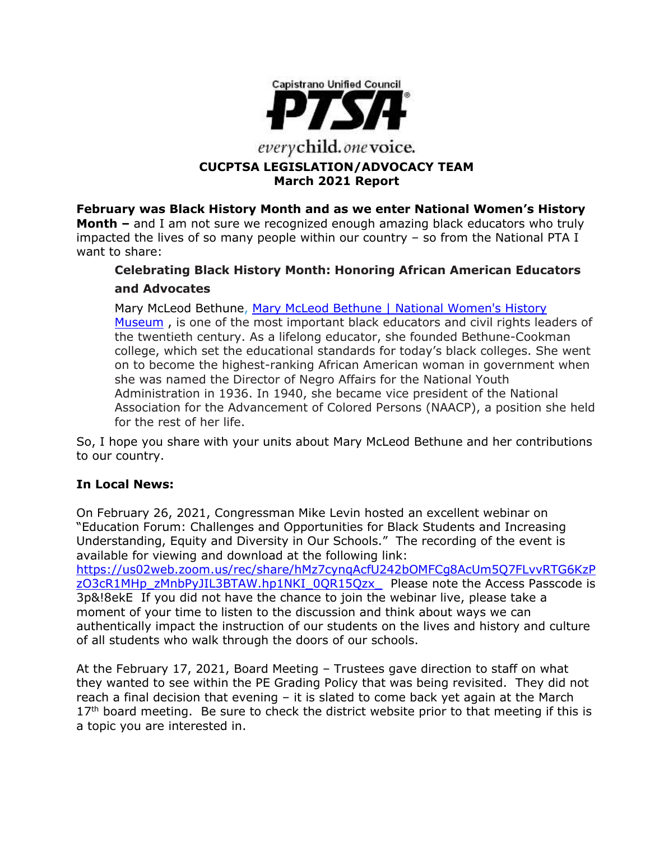

# **CUCPTSA LEGISLATION/ADVOCACY TEAM March 2021 Report**

**February was Black History Month and as we enter National Women's History Month –** and I am not sure we recognized enough amazing black educators who truly impacted the lives of so many people within our country – so from the National PTA I want to share:

# **Celebrating Black History Month: Honoring African American Educators and Advocates**

Mary McLeod Bethune, Mary McLeod Bethune | National Women's History [Museum](https://www.womenshistory.org/education-resources/biographies/mary-mcleod-bethune) , is one of the most important black educators and civil rights leaders of the twentieth century. As a lifelong educator, she founded Bethune-Cookman college, which set the educational standards for today's black colleges. She went on to become the highest-ranking African American woman in government when she was named the Director of Negro Affairs for the National Youth Administration in 1936. In 1940, she became vice president of the National Association for the Advancement of Colored Persons (NAACP), a position she held for the rest of her life.

So, I hope you share with your units about Mary McLeod Bethune and her contributions to our country.

# **In Local News:**

On February 26, 2021, Congressman Mike Levin hosted an excellent webinar on "Education Forum: Challenges and Opportunities for Black Students and Increasing Understanding, Equity and Diversity in Our Schools." The recording of the event is available for viewing and download at the following link:

[https://us02web.zoom.us/rec/share/hMz7cynqAcfU242bOMFCg8AcUm5Q7FLvvRTG6KzP](https://us02web.zoom.us/rec/share/hMz7cynqAcfU242bOMFCg8AcUm5Q7FLvvRTG6KzPzO3cR1MHp_zMnbPyJIL3BTAW.hp1NKI_0QR15Qzx_) [zO3cR1MHp\\_zMnbPyJIL3BTAW.hp1NKI\\_0QR15Qzx\\_](https://us02web.zoom.us/rec/share/hMz7cynqAcfU242bOMFCg8AcUm5Q7FLvvRTG6KzPzO3cR1MHp_zMnbPyJIL3BTAW.hp1NKI_0QR15Qzx_) Please note the Access Passcode is 3p&!8ekE If you did not have the chance to join the webinar live, please take a moment of your time to listen to the discussion and think about ways we can authentically impact the instruction of our students on the lives and history and culture of all students who walk through the doors of our schools.

At the February 17, 2021, Board Meeting – Trustees gave direction to staff on what they wanted to see within the PE Grading Policy that was being revisited. They did not reach a final decision that evening – it is slated to come back yet again at the March  $17<sup>th</sup>$  board meeting. Be sure to check the district website prior to that meeting if this is a topic you are interested in.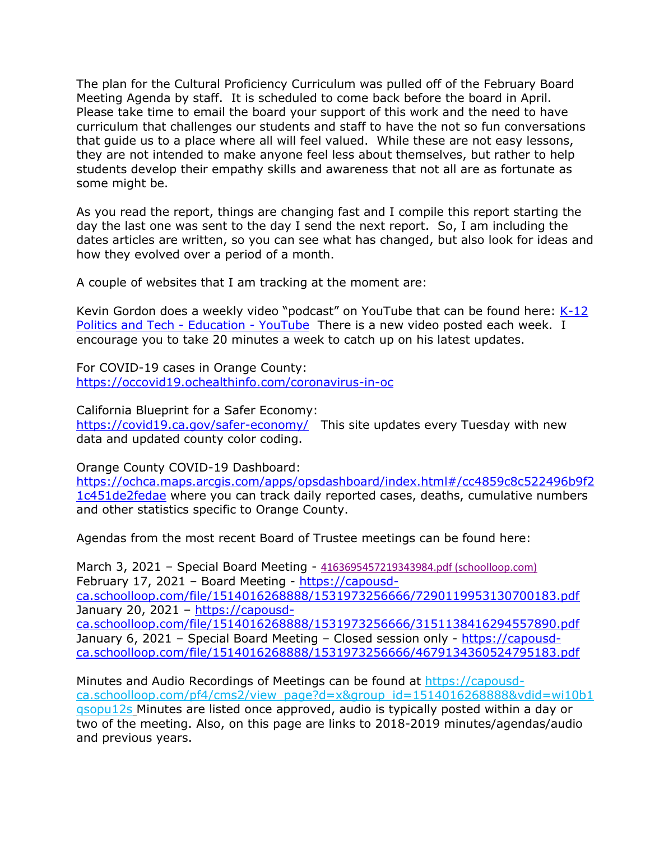The plan for the Cultural Proficiency Curriculum was pulled off of the February Board Meeting Agenda by staff. It is scheduled to come back before the board in April. Please take time to email the board your support of this work and the need to have curriculum that challenges our students and staff to have the not so fun conversations that guide us to a place where all will feel valued. While these are not easy lessons, they are not intended to make anyone feel less about themselves, but rather to help students develop their empathy skills and awareness that not all are as fortunate as some might be.

As you read the report, things are changing fast and I compile this report starting the day the last one was sent to the day I send the next report. So, I am including the dates articles are written, so you can see what has changed, but also look for ideas and how they evolved over a period of a month.

A couple of websites that I am tracking at the moment are:

Kevin Gordon does a weekly video "podcast" on YouTube that can be found here: [K-12](https://www.youtube.com/channel/UCp5ziYY2a-svTX2bw3sBZlQ)  [Politics and Tech -](https://www.youtube.com/channel/UCp5ziYY2a-svTX2bw3sBZlQ) Education - YouTube There is a new video posted each week. I encourage you to take 20 minutes a week to catch up on his latest updates.

For COVID-19 cases in Orange County: <https://occovid19.ochealthinfo.com/coronavirus-in-oc>

California Blueprint for a Safer Economy: <https://covid19.ca.gov/safer-economy/>This site updates every Tuesday with new data and updated county color coding.

Orange County COVID-19 Dashboard:

[https://ochca.maps.arcgis.com/apps/opsdashboard/index.html#/cc4859c8c522496b9f2](https://ochca.maps.arcgis.com/apps/opsdashboard/index.html#/cc4859c8c522496b9f21c451de2fedae) [1c451de2fedae](https://ochca.maps.arcgis.com/apps/opsdashboard/index.html#/cc4859c8c522496b9f21c451de2fedae) where you can track daily reported cases, deaths, cumulative numbers and other statistics specific to Orange County.

Agendas from the most recent Board of Trustee meetings can be found here:

March 3, 2021 – Special Board Meeting - [4163695457219343984.pdf \(schoolloop.com\)](https://capousd-ca.schoolloop.com/file/1514016268888/1531973256666/4163695457219343984.pdf) February 17, 2021 – Board Meeting - [https://capousd](https://capousd-ca.schoolloop.com/file/1514016268888/1531973256666/7290119953130700183.pdf)[ca.schoolloop.com/file/1514016268888/1531973256666/7290119953130700183.pdf](https://capousd-ca.schoolloop.com/file/1514016268888/1531973256666/7290119953130700183.pdf) January 20, 2021 – [https://capousd](https://capousd-ca.schoolloop.com/file/1514016268888/1531973256666/3151138416294557890.pdf)[ca.schoolloop.com/file/1514016268888/1531973256666/3151138416294557890.pdf](https://capousd-ca.schoolloop.com/file/1514016268888/1531973256666/3151138416294557890.pdf) January 6, 2021 – Special Board Meeting – Closed session only - [https://capousd](https://capousd-ca.schoolloop.com/file/1514016268888/1531973256666/4679134360524795183.pdf)[ca.schoolloop.com/file/1514016268888/1531973256666/4679134360524795183.pdf](https://capousd-ca.schoolloop.com/file/1514016268888/1531973256666/4679134360524795183.pdf)

Minutes and Audio Recordings of Meetings can be found at [https://capousd](https://capousd-ca.schoolloop.com/pf4/cms2/view_page?d=x&group_id=1514016268888&vdid=wi10b1qsopu12s)[ca.schoolloop.com/pf4/cms2/view\\_page?d=x&group\\_id=1514016268888&vdid=wi10b1](https://capousd-ca.schoolloop.com/pf4/cms2/view_page?d=x&group_id=1514016268888&vdid=wi10b1qsopu12s) [qsopu12s](https://capousd-ca.schoolloop.com/pf4/cms2/view_page?d=x&group_id=1514016268888&vdid=wi10b1qsopu12s) Minutes are listed once approved, audio is typically posted within a day or two of the meeting. Also, on this page are links to 2018-2019 minutes/agendas/audio and previous years.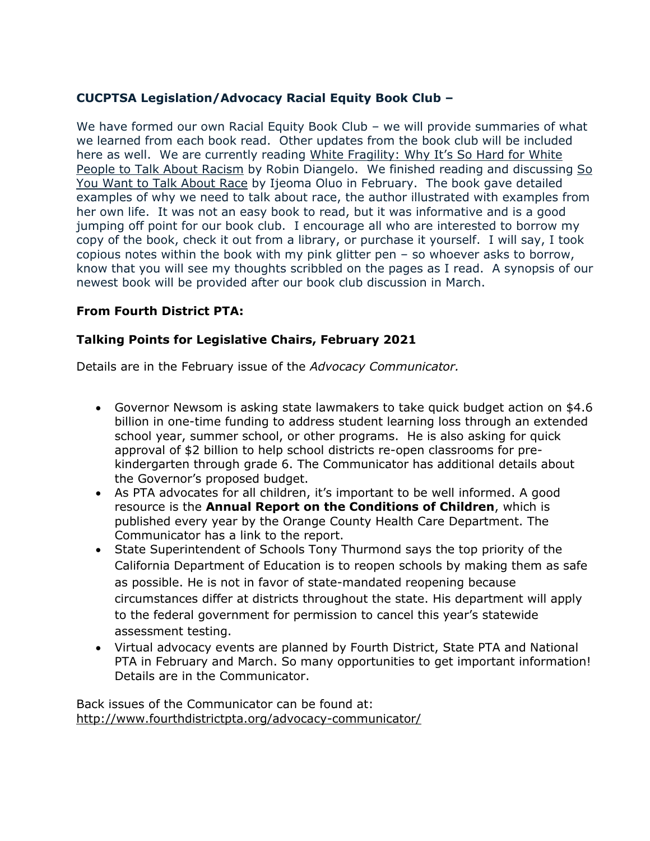# **CUCPTSA Legislation/Advocacy Racial Equity Book Club –**

We have formed our own Racial Equity Book Club – we will provide summaries of what we learned from each book read. Other updates from the book club will be included here as well. We are currently reading White Fragility: Why It's So Hard for White People to Talk About Racism by Robin Diangelo. We finished reading and discussing So You Want to Talk About Race by Ijeoma Oluo in February. The book gave detailed examples of why we need to talk about race, the author illustrated with examples from her own life. It was not an easy book to read, but it was informative and is a good jumping off point for our book club. I encourage all who are interested to borrow my copy of the book, check it out from a library, or purchase it yourself. I will say, I took copious notes within the book with my pink glitter pen – so whoever asks to borrow, know that you will see my thoughts scribbled on the pages as I read. A synopsis of our newest book will be provided after our book club discussion in March.

# **From Fourth District PTA:**

# **Talking Points for Legislative Chairs, February 2021**

Details are in the February issue of the *Advocacy Communicator.*

- Governor Newsom is asking state lawmakers to take quick budget action on \$4.6 billion in one-time funding to address student learning loss through an extended school year, summer school, or other programs. He is also asking for quick approval of \$2 billion to help school districts re-open classrooms for prekindergarten through grade 6. The Communicator has additional details about the Governor's proposed budget.
- As PTA advocates for all children, it's important to be well informed. A good resource is the **Annual Report on the Conditions of Children**, which is published every year by the Orange County Health Care Department. The Communicator has a link to the report.
- State Superintendent of Schools Tony Thurmond says the top priority of the California Department of Education is to reopen schools by making them as safe as possible. He is not in favor of state-mandated reopening because circumstances differ at districts throughout the state. His department will apply to the federal government for permission to cancel this year's statewide assessment testing.
- Virtual advocacy events are planned by Fourth District, State PTA and National PTA in February and March. So many opportunities to get important information! Details are in the Communicator.

Back issues of the Communicator can be found at: <http://www.fourthdistrictpta.org/advocacy-communicator/>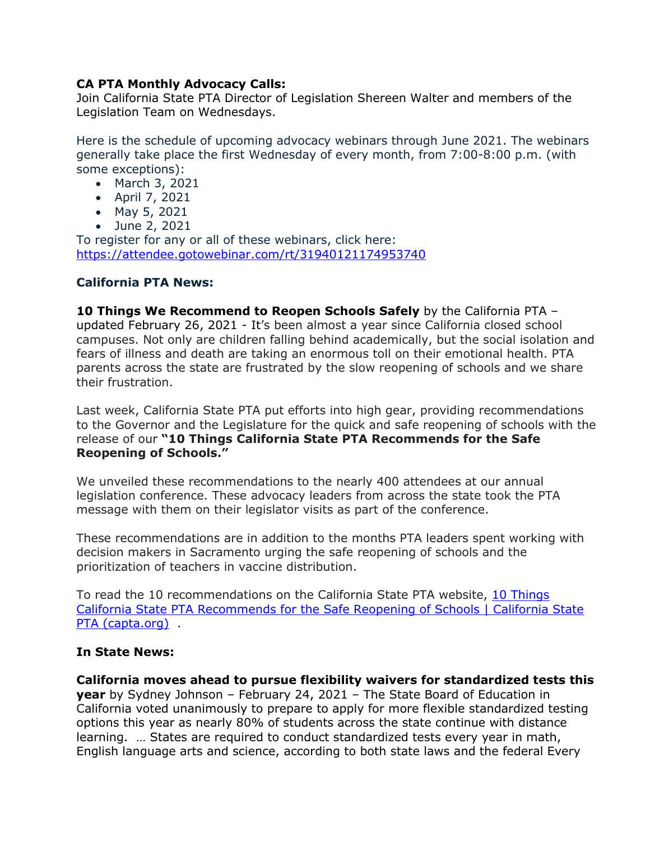## **CA PTA Monthly Advocacy Calls:**

Join California State PTA Director of Legislation Shereen Walter and members of the Legislation Team on Wednesdays.

Here is the schedule of upcoming advocacy webinars through June 2021. The webinars generally take place the first Wednesday of every month, from 7:00-8:00 p.m. (with some exceptions):

- March 3, 2021
- April 7, 2021
- May 5, 2021
- June 2, 2021

To register for any or all of these webinars, click here: [https://attendee.gotowebinar.com/rt/31940121174953740](http://capta.bmetrack.com/c/l?u=AB6FF6E&e=10CEA9F&c=4592C&t=0&l=2971D61A&email=TepeYfBsuqqthho6K9B9EXzBjzlZ2TJR&seq=1)

## **California PTA News:**

**10 Things We Recommend to Reopen Schools Safely** by the California PTA – updated February 26, 2021 - It's been almost a year since California closed school campuses. Not only are children falling behind academically, but the social isolation and fears of illness and death are taking an enormous toll on their emotional health. PTA parents across the state are frustrated by the slow reopening of schools and we share their frustration.

Last week, California State PTA put efforts into high gear, providing recommendations to the Governor and the Legislature for the quick and safe reopening of schools with the release of our **"10 Things California State PTA Recommends for the Safe Reopening of Schools."**

We unveiled these recommendations to the nearly 400 attendees at our annual legislation conference. These advocacy leaders from across the state took the PTA message with them on their legislator visits as part of the conference.

These recommendations are in addition to the months PTA leaders spent working with decision makers in Sacramento urging the safe reopening of schools and the prioritization of teachers in vaccine distribution.

To read the 10 recommendations on the California State PTA website, [10 Things](https://capta.org/resource/10-things-california-state-pta-recommends-for-the-safe-reopening-of-schools/)  [California State PTA Recommends for the Safe Reopening of Schools | California State](https://capta.org/resource/10-things-california-state-pta-recommends-for-the-safe-reopening-of-schools/)  [PTA \(capta.org\)](https://capta.org/resource/10-things-california-state-pta-recommends-for-the-safe-reopening-of-schools/) .

## **In State News:**

**California moves ahead to pursue flexibility waivers for standardized tests this year** by Sydney Johnson – February 24, 2021 – The State Board of Education in California voted unanimously to prepare to apply for more flexible standardized testing options this year as nearly 80% of students across the state continue with distance learning. … States are required to conduct standardized tests every year in math, English language arts and science, according to both state laws and the federal Every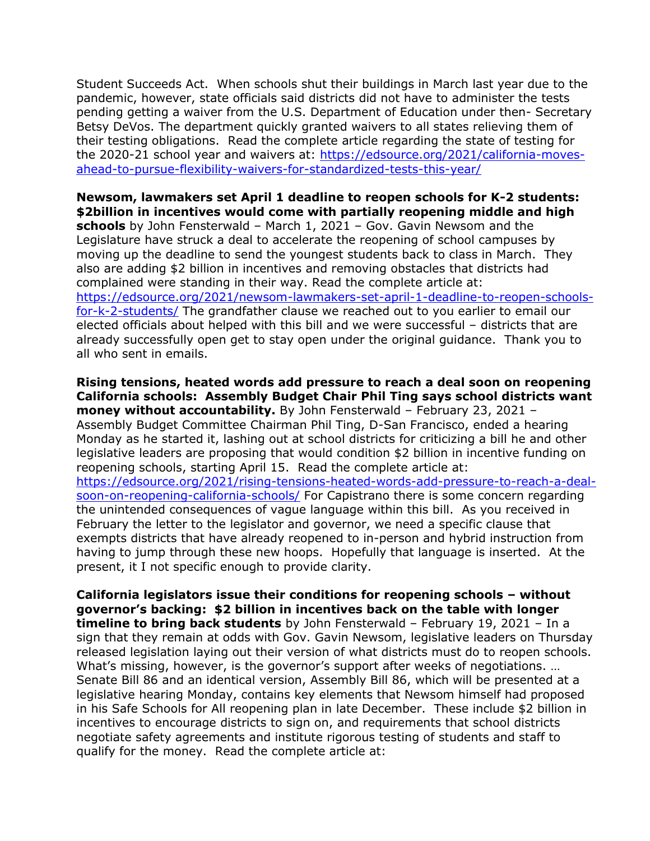Student Succeeds Act. When schools shut their buildings in March last year due to the pandemic, however, state officials said districts did not have to administer the tests pending getting a waiver from the U.S. Department of Education under then- Secretary Betsy DeVos. The department quickly granted waivers to all states relieving them of their testing obligations. Read the complete article regarding the state of testing for the 2020-21 school year and waivers at: [https://edsource.org/2021/california-moves](https://edsource.org/2021/california-moves-ahead-to-pursue-flexibility-waivers-for-standardized-tests-this-year/)[ahead-to-pursue-flexibility-waivers-for-standardized-tests-this-year/](https://edsource.org/2021/california-moves-ahead-to-pursue-flexibility-waivers-for-standardized-tests-this-year/)

# **Newsom, lawmakers set April 1 deadline to reopen schools for K-2 students: \$2billion in incentives would come with partially reopening middle and high**

**schools** by John Fensterwald – March 1, 2021 – Gov. Gavin Newsom and the Legislature have struck a deal to accelerate the reopening of school campuses by moving up the deadline to send the youngest students back to class in March. They also are adding \$2 billion in incentives and removing obstacles that districts had complained were standing in their way. Read the complete article at:

[https://edsource.org/2021/newsom-lawmakers-set-april-1-deadline-to-reopen-schools](https://edsource.org/2021/newsom-lawmakers-set-april-1-deadline-to-reopen-schools-for-k-2-students/)[for-k-2-students/](https://edsource.org/2021/newsom-lawmakers-set-april-1-deadline-to-reopen-schools-for-k-2-students/) The grandfather clause we reached out to you earlier to email our elected officials about helped with this bill and we were successful – districts that are already successfully open get to stay open under the original guidance. Thank you to all who sent in emails.

**Rising tensions, heated words add pressure to reach a deal soon on reopening California schools: Assembly Budget Chair Phil Ting says school districts want money without accountability.** By John Fensterwald – February 23, 2021 – Assembly Budget Committee Chairman Phil Ting, D-San Francisco, ended a hearing Monday as he started it, lashing out at school districts for criticizing a bill he and other legislative leaders are proposing that would condition \$2 billion in incentive funding on reopening schools, starting April 15. Read the complete article at: [https://edsource.org/2021/rising-tensions-heated-words-add-pressure-to-reach-a-deal](https://edsource.org/2021/rising-tensions-heated-words-add-pressure-to-reach-a-deal-soon-on-reopening-california-schools/)[soon-on-reopening-california-schools/](https://edsource.org/2021/rising-tensions-heated-words-add-pressure-to-reach-a-deal-soon-on-reopening-california-schools/) For Capistrano there is some concern regarding the unintended consequences of vague language within this bill. As you received in February the letter to the legislator and governor, we need a specific clause that exempts districts that have already reopened to in-person and hybrid instruction from having to jump through these new hoops. Hopefully that language is inserted. At the present, it I not specific enough to provide clarity.

**California legislators issue their conditions for reopening schools – without governor's backing: \$2 billion in incentives back on the table with longer timeline to bring back students** by John Fensterwald – February 19, 2021 – In a sign that they remain at odds with Gov. Gavin Newsom, legislative leaders on Thursday released legislation laying out their version of what districts must do to reopen schools. What's missing, however, is the governor's support after weeks of negotiations. ... Senate Bill 86 and an identical version, Assembly Bill 86, which will be presented at a legislative hearing Monday, contains key elements that Newsom himself had proposed in his Safe Schools for All reopening plan in late December. These include \$2 billion in incentives to encourage districts to sign on, and requirements that school districts negotiate safety agreements and institute rigorous testing of students and staff to qualify for the money. Read the complete article at: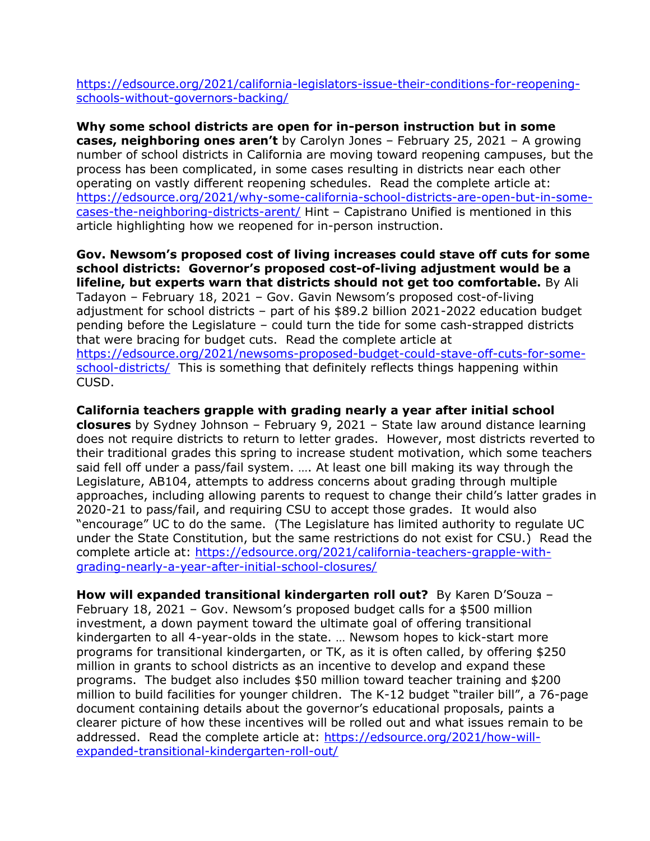[https://edsource.org/2021/california-legislators-issue-their-conditions-for-reopening](https://edsource.org/2021/california-legislators-issue-their-conditions-for-reopening-schools-without-governors-backing/)[schools-without-governors-backing/](https://edsource.org/2021/california-legislators-issue-their-conditions-for-reopening-schools-without-governors-backing/)

**Why some school districts are open for in-person instruction but in some cases, neighboring ones aren't** by Carolyn Jones – February 25, 2021 – A growing number of school districts in California are moving toward reopening campuses, but the process has been complicated, in some cases resulting in districts near each other operating on vastly different reopening schedules. Read the complete article at: [https://edsource.org/2021/why-some-california-school-districts-are-open-but-in-some](https://edsource.org/2021/why-some-california-school-districts-are-open-but-in-some-cases-the-neighboring-districts-arent/)[cases-the-neighboring-districts-arent/](https://edsource.org/2021/why-some-california-school-districts-are-open-but-in-some-cases-the-neighboring-districts-arent/) Hint – Capistrano Unified is mentioned in this article highlighting how we reopened for in-person instruction.

**Gov. Newsom's proposed cost of living increases could stave off cuts for some school districts: Governor's proposed cost-of-living adjustment would be a lifeline, but experts warn that districts should not get too comfortable.** By Ali Tadayon – February 18, 2021 – Gov. Gavin Newsom's proposed cost-of-living adjustment for school districts – part of his \$89.2 billion 2021-2022 education budget pending before the Legislature – could turn the tide for some cash-strapped districts that were bracing for budget cuts. Read the complete article at [https://edsource.org/2021/newsoms-proposed-budget-could-stave-off-cuts-for-some](https://edsource.org/2021/newsoms-proposed-budget-could-stave-off-cuts-for-some-school-districts/)[school-districts/](https://edsource.org/2021/newsoms-proposed-budget-could-stave-off-cuts-for-some-school-districts/) This is something that definitely reflects things happening within CUSD.

**California teachers grapple with grading nearly a year after initial school closures** by Sydney Johnson – February 9, 2021 – State law around distance learning does not require districts to return to letter grades. However, most districts reverted to their traditional grades this spring to increase student motivation, which some teachers said fell off under a pass/fail system. …. At least one bill making its way through the Legislature, AB104, attempts to address concerns about grading through multiple approaches, including allowing parents to request to change their child's latter grades in 2020-21 to pass/fail, and requiring CSU to accept those grades. It would also "encourage" UC to do the same. (The Legislature has limited authority to regulate UC under the State Constitution, but the same restrictions do not exist for CSU.) Read the complete article at: [https://edsource.org/2021/california-teachers-grapple-with](https://edsource.org/2021/california-teachers-grapple-with-grading-nearly-a-year-after-initial-school-closures/)[grading-nearly-a-year-after-initial-school-closures/](https://edsource.org/2021/california-teachers-grapple-with-grading-nearly-a-year-after-initial-school-closures/)

**How will expanded transitional kindergarten roll out?** By Karen D'Souza – February 18, 2021 – Gov. Newsom's proposed budget calls for a \$500 million investment, a down payment toward the ultimate goal of offering transitional kindergarten to all 4-year-olds in the state. … Newsom hopes to kick-start more programs for transitional kindergarten, or TK, as it is often called, by offering \$250 million in grants to school districts as an incentive to develop and expand these programs. The budget also includes \$50 million toward teacher training and \$200 million to build facilities for younger children. The K-12 budget "trailer bill", a 76-page document containing details about the governor's educational proposals, paints a clearer picture of how these incentives will be rolled out and what issues remain to be addressed. Read the complete article at: [https://edsource.org/2021/how-will](https://edsource.org/2021/how-will-expanded-transitional-kindergarten-roll-out/)[expanded-transitional-kindergarten-roll-out/](https://edsource.org/2021/how-will-expanded-transitional-kindergarten-roll-out/)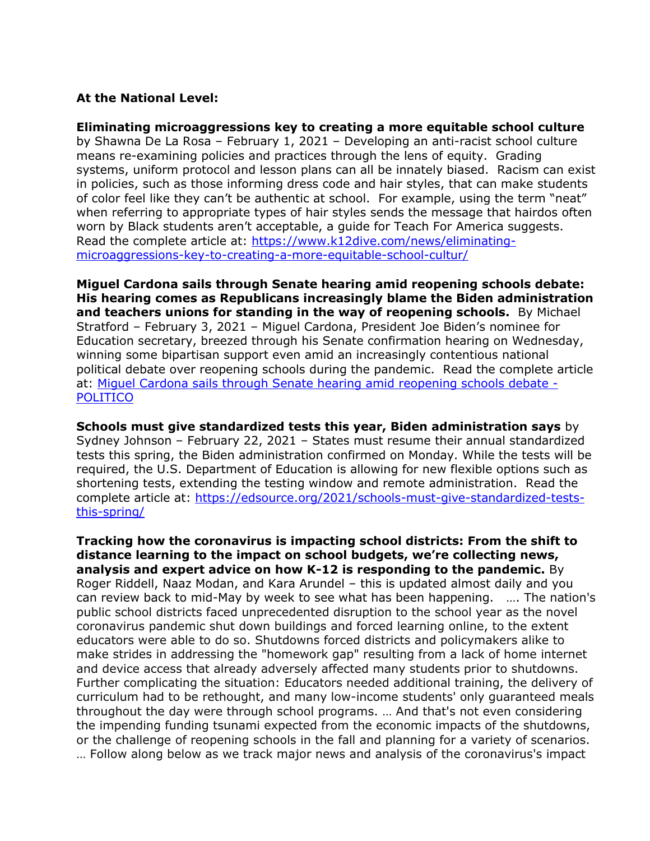#### **At the National Level:**

**Eliminating microaggressions key to creating a more equitable school culture** by Shawna De La Rosa – February 1, 2021 – Developing an anti-racist school culture means re-examining policies and practices through the lens of equity. Grading systems, uniform protocol and lesson plans can all be innately biased. Racism can exist in policies, such as those informing dress code and hair styles, that can make students of color feel like they can't be authentic at school. For example, using the term "neat" when referring to appropriate types of hair styles sends the message that hairdos often worn by Black students aren't acceptable, a guide for Teach For America suggests. Read the complete article at: [https://www.k12dive.com/news/eliminating](https://www.k12dive.com/news/eliminating-microaggressions-key-to-creating-a-more-equitable-school-cultur/)[microaggressions-key-to-creating-a-more-equitable-school-cultur/](https://www.k12dive.com/news/eliminating-microaggressions-key-to-creating-a-more-equitable-school-cultur/)

**Miguel Cardona sails through Senate hearing amid reopening schools debate: His hearing comes as Republicans increasingly blame the Biden administration and teachers unions for standing in the way of reopening schools.** By Michael Stratford – February 3, 2021 – Miguel Cardona, President Joe Biden's nominee for Education secretary, breezed through his Senate confirmation hearing on Wednesday, winning some bipartisan support even amid an increasingly contentious national political debate over reopening schools during the pandemic. Read the complete article at: [Miguel Cardona sails through Senate hearing amid reopening schools debate -](https://www.politico.com/news/2021/02/03/miguel-cardona-nomination-richard-burr-465494) **[POLITICO](https://www.politico.com/news/2021/02/03/miguel-cardona-nomination-richard-burr-465494)** 

**Schools must give standardized tests this year, Biden administration says** by Sydney Johnson – February 22, 2021 – States must resume their annual standardized tests this spring, the Biden administration confirmed on Monday. While the tests will be required, the U.S. Department of Education is allowing for new flexible options such as shortening tests, extending the testing window and remote administration. Read the complete article at: [https://edsource.org/2021/schools-must-give-standardized-tests](https://edsource.org/2021/schools-must-give-standardized-tests-this-spring/)[this-spring/](https://edsource.org/2021/schools-must-give-standardized-tests-this-spring/)

**Tracking how the coronavirus is impacting school districts: From the shift to distance learning to the impact on school budgets, we're collecting news, analysis and expert advice on how K-12 is responding to the pandemic.** By Roger Riddell, Naaz Modan, and Kara Arundel – this is updated almost daily and you can review back to mid-May by week to see what has been happening. …. The nation's public school districts faced unprecedented disruption to the school year as the novel coronavirus pandemic shut down buildings and forced learning online, to the extent educators were able to do so. Shutdowns forced districts and policymakers alike to make strides in addressing the "homework gap" resulting from a lack of home internet and device access that already adversely affected many students prior to shutdowns. Further complicating the situation: Educators needed additional training, the delivery of curriculum had to be rethought, and many low-income students' only guaranteed meals throughout the day were through school programs. … And that's not even considering the impending funding tsunami expected from the economic impacts of the shutdowns, or the challenge of reopening schools in the fall and planning for a variety of scenarios. … Follow along below as we track major news and analysis of the coronavirus's impact